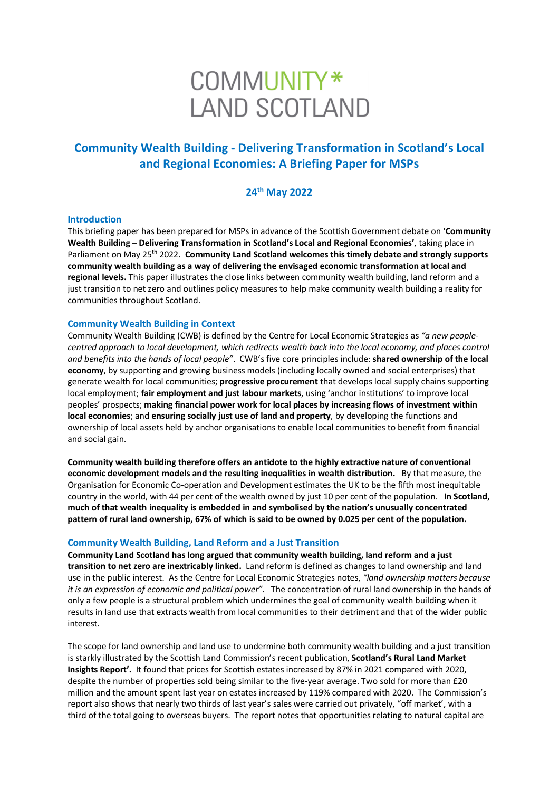# COMMUNITY\* **LAND SCOTLAND**

## **Community Wealth Building - Delivering Transformation in Scotland's Local and Regional Economies: A Briefing Paper for MSPs**

### **24th May 2022**

#### **Introduction**

This briefing paper has been prepared for MSPs in advance of the Scottish Government debate on '**Community Wealth Building – Delivering Transformation in Scotland's Local and Regional Economies'**, taking place in Parliament on May 25<sup>th</sup> 2022. **Community Land Scotland welcomes this timely debate and strongly supports community wealth building as a way of delivering the envisaged economic transformation at local and regional levels.** This paper illustrates the close links between community wealth building, land reform and a just transition to net zero and outlines policy measures to help make community wealth building a reality for communities throughout Scotland.

#### **Community Wealth Building in Context**

Community Wealth Building (CWB) is defined by the Centre for Local Economic Strategies as *"a new peoplecentred approach to local development, which redirects wealth back into the local economy, and places control and benefits into the hands of local people"*. CWB's five core principles include: **shared ownership of the local economy**, by supporting and growing business models (including locally owned and social enterprises) that generate wealth for local communities; **progressive procurement** that develops local supply chains supporting local employment; **fair employment and just labour markets**, using 'anchor institutions' to improve local peoples' prospects; **making financial power work for local places by increasing flows of investment within local economies**; and **ensuring socially just use of land and property**, by developing the functions and ownership of local assets held by anchor organisations to enable local communities to benefit from financial and social gain.

**Community wealth building therefore offers an antidote to the highly extractive nature of conventional economic development models and the resulting inequalities in wealth distribution.** By that measure, the Organisation for Economic Co-operation and Development estimates the UK to be the fifth most inequitable country in the world, with 44 per cent of the wealth owned by just 10 per cent of the population. **In Scotland, much of that wealth inequality is embedded in and symbolised by the nation's unusually concentrated pattern of rural land ownership, 67% of which is said to be owned by 0.025 per cent of the population.** 

#### **Community Wealth Building, Land Reform and a Just Transition**

**Community Land Scotland has long argued that community wealth building, land reform and a just transition to net zero are inextricably linked.** Land reform is defined as changes to land ownership and land use in the public interest. As the Centre for Local Economic Strategies notes, *"land ownership matters because it is an expression of economic and political power".* The concentration of rural land ownership in the hands of only a few people is a structural problem which undermines the goal of community wealth building when it results in land use that extracts wealth from local communities to their detriment and that of the wider public interest.

The scope for land ownership and land use to undermine both community wealth building and a just transition is starkly illustrated by the Scottish Land Commission's recent publication, **Scotland's Rural Land Market Insights Report'.** It found that prices for Scottish estates increased by 87% in 2021 compared with 2020, despite the number of properties sold being similar to the five-year average. Two sold for more than £20 million and the amount spent last year on estates increased by 119% compared with 2020. The Commission's report also shows that nearly two thirds of last year's sales were carried out privately, "off market', with a third of the total going to overseas buyers. The report notes that opportunities relating to natural capital are